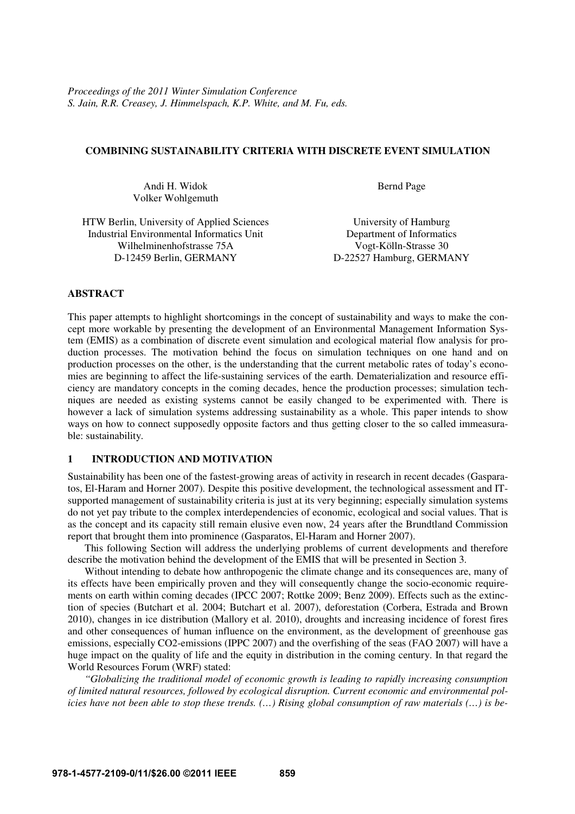## **COMBINING SUSTAINABILITY CRITERIA WITH DISCRETE EVENT SIMULATION**

Andi H. Widok Volker Wohlgemuth Bernd Page

HTW Berlin, University of Applied Sciences Industrial Environmental Informatics Unit Wilhelminenhofstrasse 75A Vogt-Kölln-Strasse 30 D-12459 Berlin, GERMANY D-22527 Hamburg, GERMANY

University of Hamburg Department of Informatics

# **ABSTRACT**

This paper attempts to highlight shortcomings in the concept of sustainability and ways to make the concept more workable by presenting the development of an Environmental Management Information System (EMIS) as a combination of discrete event simulation and ecological material flow analysis for production processes. The motivation behind the focus on simulation techniques on one hand and on production processes on the other, is the understanding that the current metabolic rates of today's economies are beginning to affect the life-sustaining services of the earth. Dematerialization and resource efficiency are mandatory concepts in the coming decades, hence the production processes; simulation techniques are needed as existing systems cannot be easily changed to be experimented with. There is however a lack of simulation systems addressing sustainability as a whole. This paper intends to show ways on how to connect supposedly opposite factors and thus getting closer to the so called immeasurable: sustainability.

# **1 INTRODUCTION AND MOTIVATION**

Sustainability has been one of the fastest-growing areas of activity in research in recent decades (Gasparatos, El-Haram and Horner 2007). Despite this positive development, the technological assessment and ITsupported management of sustainability criteria is just at its very beginning; especially simulation systems do not yet pay tribute to the complex interdependencies of economic, ecological and social values. That is as the concept and its capacity still remain elusive even now, 24 years after the Brundtland Commission report that brought them into prominence (Gasparatos, El-Haram and Horner 2007).

This following Section will address the underlying problems of current developments and therefore describe the motivation behind the development of the EMIS that will be presented in Section 3.

Without intending to debate how anthropogenic the climate change and its consequences are, many of its effects have been empirically proven and they will consequently change the socio-economic requirements on earth within coming decades (IPCC 2007; Rottke 2009; Benz 2009). Effects such as the extinction of species (Butchart et al. 2004; Butchart et al. 2007), deforestation (Corbera, Estrada and Brown 2010), changes in ice distribution (Mallory et al. 2010), droughts and increasing incidence of forest fires and other consequences of human influence on the environment, as the development of greenhouse gas emissions, especially CO2-emissions (IPPC 2007) and the overfishing of the seas (FAO 2007) will have a huge impact on the quality of life and the equity in distribution in the coming century. In that regard the World Resources Forum (WRF) stated:

*"Globalizing the traditional model of economic growth is leading to rapidly increasing consumption of limited natural resources, followed by ecological disruption. Current economic and environmental policies have not been able to stop these trends. (…) Rising global consumption of raw materials (…) is be-*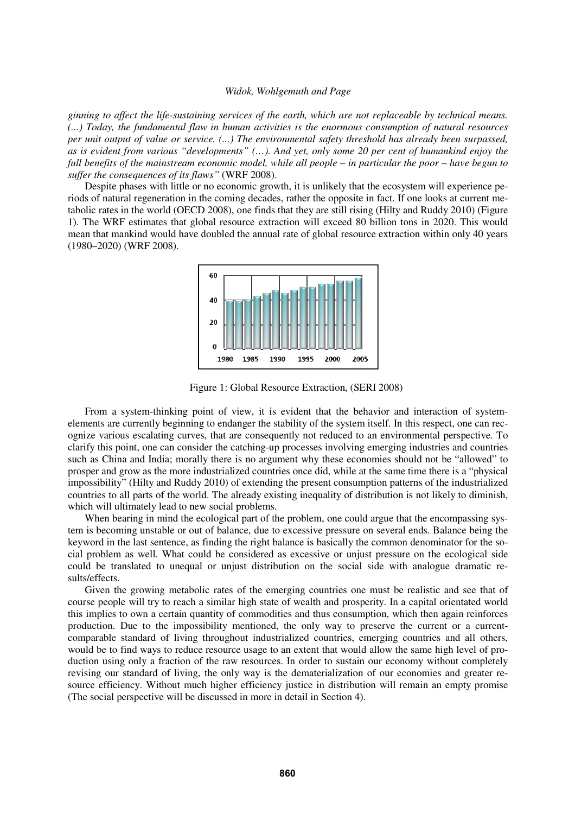*ginning to affect the life-sustaining services of the earth, which are not replaceable by technical means. (...) Today, the fundamental flaw in human activities is the enormous consumption of natural resources*  ginning to affect the life-sustaining services of the earth, which are not replaceable by technical means.<br>(...) Today, the fundamental flaw in human activities is the enormous consumption of natural resources<br>per unit out as is evident from various "developments" (...). And yet, only some 20 per cent of humankind enjoy the ginning to affect the life-sustaining services of the earth, which are not replaceable by technical means.<br>(...) Today, the fundamental flaw in human activities is the enormous consumption of natural resources<br>per unit out *suffer the consequences of its flaw r flaws"* (WRF 2008).

Despite phases with little or no economic growth, it is unlikely that the ecosystem will experience periods of natural regeneration in the coming decades, rather the opposite in fact. If one looks at current me tabolic rates in the world (OECD 2008), one finds that they are still rising (Hilty and Ruddy 2010) (Figure 1). The WRF estimates that global resource extraction will exceed 80 billion tons in 2020. This would 1). The WRF estimates that global resource extraction will exceed 80 billion tons in 2020. This would mean that mankind would have doubled the annual rate of global resource extraction within only 40 years (1980–2020) (WRF 2008).



Figure 1: Global Resource Extraction, (SERI 2008)

From a system-thinking point of view, it is evident that the behavior and interaction of system elements are currently beginning to endanger the stability of the system itself. In this respect, one can recognize various escalating curves, that are consequently not reduced to an environmental perspective. To clarify this point, one can consider the catching-up processes involving emerging industries and countries such as China and India; morally there is no argument why these economies should not be "allowed" to clarify this point, one can consider the catching-up processes involving emerging industries and countries such as China and India; morally there is no argument why these economies should not be "allowed" to prosper and gr impossibility" (Hilty and Ruddy 2010) of extending the present consumption patterns of the industrialized impossibility" (Hilty and Ruddy 2010) of extending the present consumption patterns of the industrialized countries to all parts of the world. The already existing inequality of distribution is not likely to diminish, which will ultimately lead to new social problems.

ch will ultimately lead to new social problems.<br>When bearing in mind the ecological part of the problem, one could argue that the encompassing system is becoming unstable or out of balance, due to excessive pressure on several ends. Balance being the keyword in the last sentence, as finding the right balance is basically the common denominator for the social problem as well. What could be considered as excessive or unjust pressure on the ecological side<br>could be translated to unequal or unjust distribution on the social side with analogue dramatic recould be translated to unequal or unjust distribution on the social side with sults/effects.

Given the growing metabolic rates of the emerging countries one must be realistic and see that of Given the growing metabolic rates of the emerging countries one must be realistic and see that of course people will try to reach a similar high state of wealth and prosperity. In a capital orientated world this implies to own a certain quantity of commodities and thus consumption, which then again reinforces production. Due to the impossibility mentioned, the only way to preserve the current or a current comparable standard of living throughout industrialized countries, emerging countries and all others, would be to find ways to reduce resource usage to an extent that would allow the same high level of pr duction using only a fraction of the raw resources. In order to sustain our economy without completely duction using only a fraction of the raw resources. In order to sustain our economy without completely<br>revising our standard of living, the only way is the dematerialization of our economies and greater resource efficiency. Without much higher efficiency justice in distribution will remain an empty promise (The social perspective will be discussed in more in detail in Section 4). ue to the impossibility mentioned, the only way to preserve the current or a current-<br>andard of living throughout industrialized countries, emerging countries and all others,<br>nd ways to reduce resource usage to an extent t st be realistic and see that of<br>. In a capital orientated world<br>, which then again reinforces<br>ve the current or a currentpro-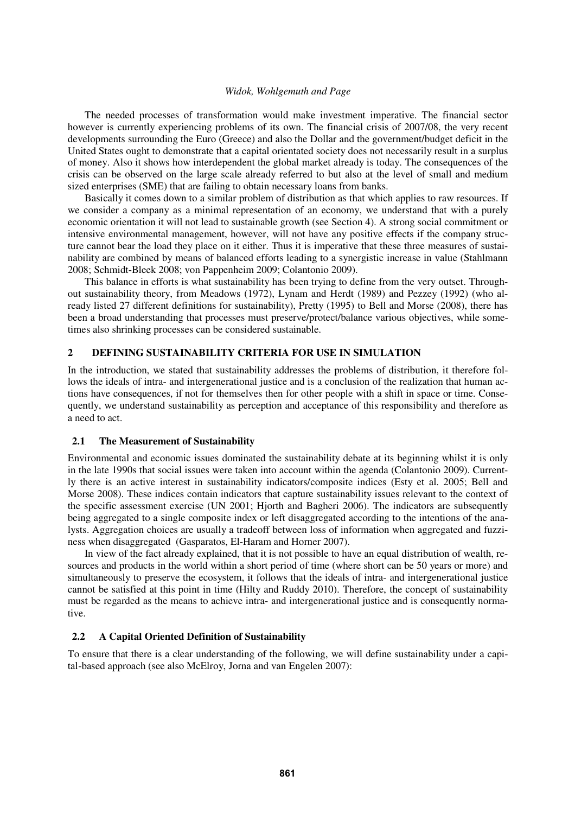The needed processes of transformation would make investment imperative. The financial sector however is currently experiencing problems of its own. The financial crisis of 2007/08, the very recent developments surrounding the Euro (Greece) and also the Dollar and the government/budget deficit in the United States ought to demonstrate that a capital orientated society does not necessarily result in a surplus of money. Also it shows how interdependent the global market already is today. The consequences of the crisis can be observed on the large scale already referred to but also at the level of small and medium sized enterprises (SME) that are failing to obtain necessary loans from banks.

Basically it comes down to a similar problem of distribution as that which applies to raw resources. If we consider a company as a minimal representation of an economy, we understand that with a purely economic orientation it will not lead to sustainable growth (see Section 4). A strong social commitment or intensive environmental management, however, will not have any positive effects if the company structure cannot bear the load they place on it either. Thus it is imperative that these three measures of sustainability are combined by means of balanced efforts leading to a synergistic increase in value (Stahlmann 2008; Schmidt-Bleek 2008; von Pappenheim 2009; Colantonio 2009).

This balance in efforts is what sustainability has been trying to define from the very outset. Throughout sustainability theory, from Meadows (1972), Lynam and Herdt (1989) and Pezzey (1992) (who already listed 27 different definitions for sustainability), Pretty (1995) to Bell and Morse (2008), there has been a broad understanding that processes must preserve/protect/balance various objectives, while sometimes also shrinking processes can be considered sustainable.

## **2 DEFINING SUSTAINABILITY CRITERIA FOR USE IN SIMULATION**

In the introduction, we stated that sustainability addresses the problems of distribution, it therefore follows the ideals of intra- and intergenerational justice and is a conclusion of the realization that human actions have consequences, if not for themselves then for other people with a shift in space or time. Consequently, we understand sustainability as perception and acceptance of this responsibility and therefore as a need to act.

## **2.1 The Measurement of Sustainability**

Environmental and economic issues dominated the sustainability debate at its beginning whilst it is only in the late 1990s that social issues were taken into account within the agenda (Colantonio 2009). Currently there is an active interest in sustainability indicators/composite indices (Esty et al. 2005; Bell and Morse 2008). These indices contain indicators that capture sustainability issues relevant to the context of the specific assessment exercise (UN 2001; Hjorth and Bagheri 2006). The indicators are subsequently being aggregated to a single composite index or left disaggregated according to the intentions of the analysts. Aggregation choices are usually a tradeoff between loss of information when aggregated and fuzziness when disaggregated (Gasparatos, El-Haram and Horner 2007).

In view of the fact already explained, that it is not possible to have an equal distribution of wealth, resources and products in the world within a short period of time (where short can be 50 years or more) and simultaneously to preserve the ecosystem, it follows that the ideals of intra- and intergenerational justice cannot be satisfied at this point in time (Hilty and Ruddy 2010). Therefore, the concept of sustainability must be regarded as the means to achieve intra- and intergenerational justice and is consequently normative.

## **2.2 A Capital Oriented Definition of Sustainability**

To ensure that there is a clear understanding of the following, we will define sustainability under a capital-based approach (see also McElroy, Jorna and van Engelen 2007):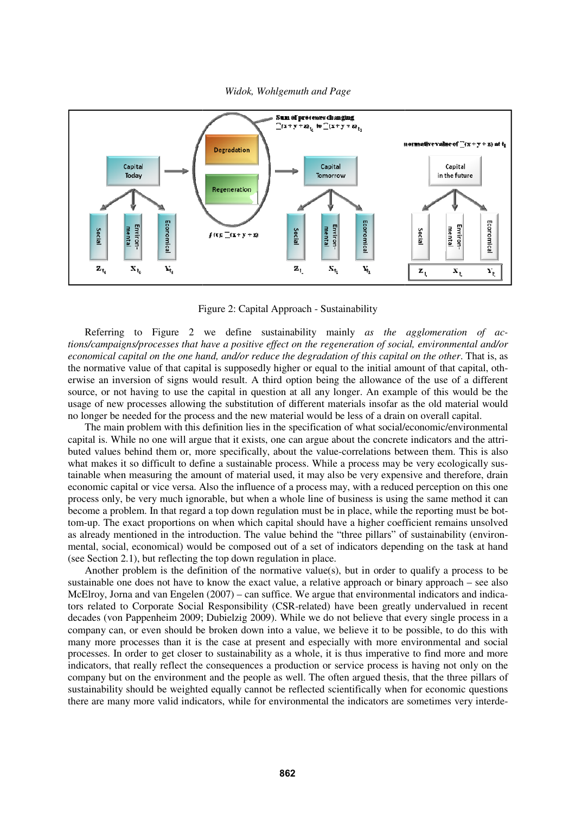*Widok, Wohlgemuth and Page* 



Figure 2: Capital Approach - Sustainability

Referring to Figure 2 we define sustainability mainly *as the agglomeration of a tions/campaigns/processes that have a positive effect on the regeneration of social, environmental and/or*  tions/campaigns/processes that have a positive effect on the regeneration of social, environmental and/or<br>economical capital on the one hand, and/or reduce the degradation of this capital on the other. That is, as the normative value of that capital is supposedly higher or equal to the initial amount of that capital, otherwise an inversion of signs would result. A third option being the allowance of the use of a different source, or not having to use the capital in question at all any longer. An example of this would be the usage of new processes allowing the substitution of different materials insofar as the old material would usage of new processes allowing the substitution of different materials insofar as th<br>no longer be needed for the process and the new material would be less of a drain on of this would be<br>e old material wo<br>overall capital.

The main problem with this definition lies in the specification of what social/economic/environmental capital is. While no one will argue that it exists, one can argue about the concrete indicators and the attributed values behind them or, more specifically, about the value-correlations between them. This is also buted values behind them or, more specifically, about the value-correlations between them. This is also<br>what makes it so difficult to define a sustainable process. While a process may be very ecologically sustainable when measuring the amount of material used, it may also be very expensive and therefore, drain economic capital or vice versa. Also the influence of a process may, with a reduced perception on this one process only, be very much ignorable, but when a whole line of business is using the same method it can process only, be very much ignorable, but when a whole line of business is using the same method it can<br>become a problem. In that regard a top down regulation must be in place, while the reporting must be bottom-up. The exact proportions on when which capital should have a higher coefficient remains unsolved tom-up. The exact proportions on when which capital should have a higher coefficient remains unsolved<br>as already mentioned in the introduction. The value behind the "three pillars" of sustainability (environmental, social, economical) would be composed out of a set of indicators depending on the task at hand (see Section 2.1), but reflecting the top down regulation in place. problem. In that regard a top down regulation must be in place, while the reporting must be bothe exact proportions on when which capital should have a higher coefficient remains unsolved mentioned in the introduction. The

Another problem is the definition of the normative value(s), but in order to qualify a process to be Another problem is the definition of the normative value(s), but in order to qualify a process to be sustainable one does not have to know the exact value, a relative approach or binary approach – see also McElroy, Jorna and van Engelen (2007) – can suffice. We argue that environmental indicators and indicators related to Corporate Social Responsibility ( (CSR-related) have been greatly undervalued in recent tors related to Corporate Social Responsibility (CSR-related) have been greatly undervalued in recent decades (von Pappenheim 2009; Dubielzig 2009). While we do not believe that every single process in a company can, or even should be broken down into a value, we believe it to be possible, to do this with many more processes than it is the case at present and especially with more environmental and social processes. In order to get closer to sustainability as a whole, it is thus imperative to find more and more indicators, that really reflect the consequences a production or service process is having not only on the indicators, that really reflect the consequences a production or service process is having not only on the company but on the environment and the people as well. The often argued thesis, that the three pillars of sustainability should be weighted equally cannot be reflected scientifically when for economic questions there are many more valid indicators, while for environmental the indicators are sometimes very interdeaainly *as the agglomeration of ac-<br>eneration of social, environmental and/or<br>tion of this capital on the other. That is, as<br>all to the initial amount of that capital, oth-<br>lall to the initial amount of that capital, oth-<br>*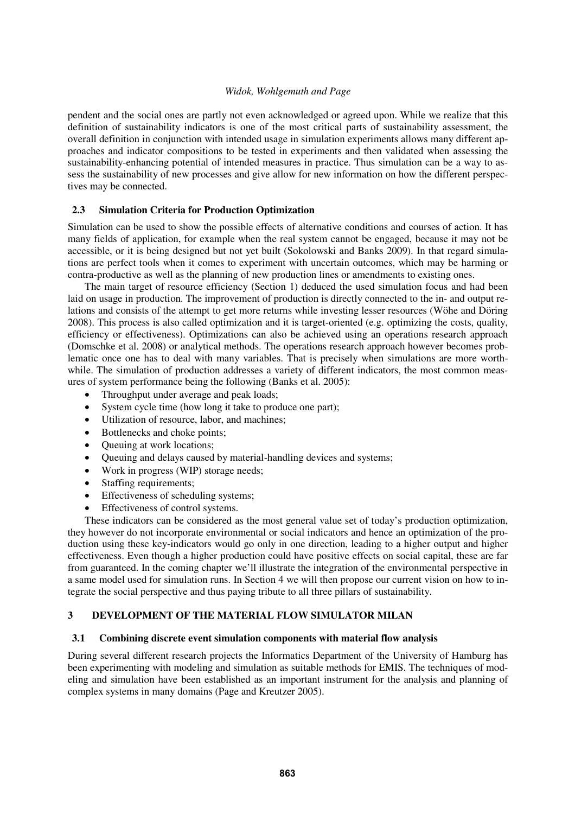pendent and the social ones are partly not even acknowledged or agreed upon. While we realize that this definition of sustainability indicators is one of the most critical parts of sustainability assessment, the overall definition in conjunction with intended usage in simulation experiments allows many different approaches and indicator compositions to be tested in experiments and then validated when assessing the sustainability-enhancing potential of intended measures in practice. Thus simulation can be a way to assess the sustainability of new processes and give allow for new information on how the different perspectives may be connected.

# **2.3 Simulation Criteria for Production Optimization**

Simulation can be used to show the possible effects of alternative conditions and courses of action. It has many fields of application, for example when the real system cannot be engaged, because it may not be accessible, or it is being designed but not yet built (Sokolowski and Banks 2009). In that regard simulations are perfect tools when it comes to experiment with uncertain outcomes, which may be harming or contra-productive as well as the planning of new production lines or amendments to existing ones.

The main target of resource efficiency (Section 1) deduced the used simulation focus and had been laid on usage in production. The improvement of production is directly connected to the in- and output relations and consists of the attempt to get more returns while investing lesser resources (Wöhe and Döring 2008). This process is also called optimization and it is target-oriented (e.g. optimizing the costs, quality, efficiency or effectiveness). Optimizations can also be achieved using an operations research approach (Domschke et al. 2008) or analytical methods. The operations research approach however becomes problematic once one has to deal with many variables. That is precisely when simulations are more worthwhile. The simulation of production addresses a variety of different indicators, the most common measures of system performance being the following (Banks et al. 2005):

- Throughput under average and peak loads;
- System cycle time (how long it take to produce one part);
- Utilization of resource, labor, and machines;
- Bottlenecks and choke points:
- Queuing at work locations;
- Queuing and delays caused by material-handling devices and systems;
- Work in progress (WIP) storage needs;
- Staffing requirements;
- Effectiveness of scheduling systems;
- Effectiveness of control systems.

These indicators can be considered as the most general value set of today's production optimization, they however do not incorporate environmental or social indicators and hence an optimization of the production using these key-indicators would go only in one direction, leading to a higher output and higher effectiveness. Even though a higher production could have positive effects on social capital, these are far from guaranteed. In the coming chapter we'll illustrate the integration of the environmental perspective in a same model used for simulation runs. In Section 4 we will then propose our current vision on how to integrate the social perspective and thus paying tribute to all three pillars of sustainability.

# **3 DEVELOPMENT OF THE MATERIAL FLOW SIMULATOR MILAN**

## **3.1 Combining discrete event simulation components with material flow analysis**

During several different research projects the Informatics Department of the University of Hamburg has been experimenting with modeling and simulation as suitable methods for EMIS. The techniques of modeling and simulation have been established as an important instrument for the analysis and planning of complex systems in many domains (Page and Kreutzer 2005).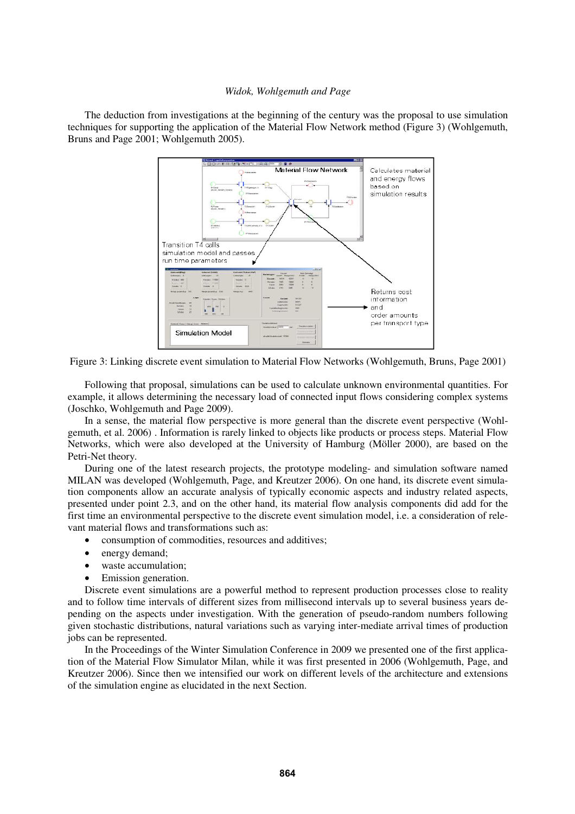The deduction from investigations at the beginning of the century was the proposal to use simulation techniques for supporting the application of the Material Flow Network method (Figure 3) (Wohlgemuth, Bruns and Page 2001; Wohlgemuth 2005).



Figure 3: Linking discrete event simulation to Material Flow Networks (Wohlgemuth, Bruns, Page 2001)

Following that proposal, simulations can be used to calculate unknown environmental quantities. For example, it allows determining the necessary load of connected input flows considering complex systems (Joschko, Wohlgemuth and Page 2009).

In a sense, the material flow perspective is more general than the discrete event perspective (Wohlgemuth, et al. 2006) . Information is rarely linked to objects like products or process steps. Material Flow Networks, which were also developed at the University of Hamburg (Möller 2000), are based on the Petri-Net theory.

During one of the latest research projects, the prototype modeling- and simulation software named MILAN was developed (Wohlgemuth, Page, and Kreutzer 2006). On one hand, its discrete event simulation components allow an accurate analysis of typically economic aspects and industry related aspects, presented under point 2.3, and on the other hand, its material flow analysis components did add for the first time an environmental perspective to the discrete event simulation model, i.e. a consideration of relevant material flows and transformations such as:

- consumption of commodities, resources and additives;
- energy demand;
- waste accumulation;
- Emission generation.

Discrete event simulations are a powerful method to represent production processes close to reality and to follow time intervals of different sizes from millisecond intervals up to several business years depending on the aspects under investigation. With the generation of pseudo-random numbers following given stochastic distributions, natural variations such as varying inter-mediate arrival times of production jobs can be represented.

In the Proceedings of the Winter Simulation Conference in 2009 we presented one of the first application of the Material Flow Simulator Milan, while it was first presented in 2006 (Wohlgemuth, Page, and Kreutzer 2006). Since then we intensified our work on different levels of the architecture and extensions of the simulation engine as elucidated in the next Section.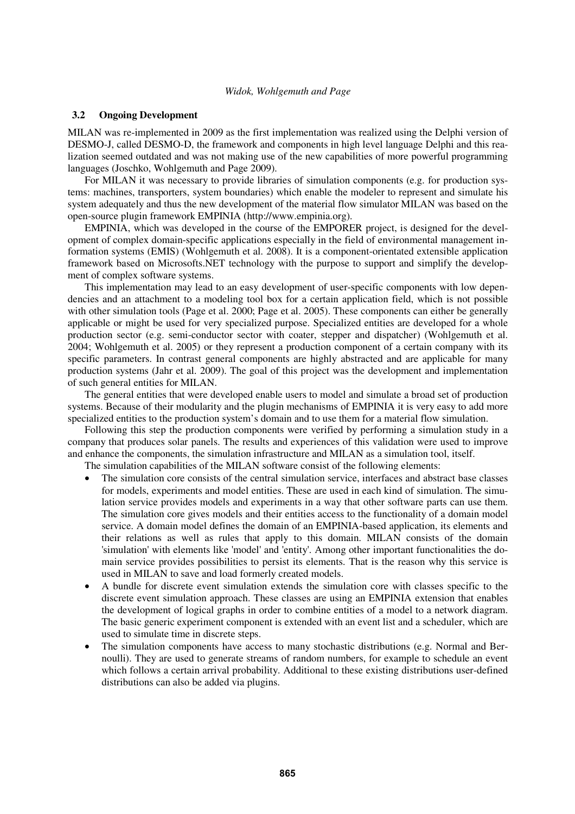#### **3.2 Ongoing Development**

MILAN was re-implemented in 2009 as the first implementation was realized using the Delphi version of DESMO-J, called DESMO-D, the framework and components in high level language Delphi and this realization seemed outdated and was not making use of the new capabilities of more powerful programming languages (Joschko, Wohlgemuth and Page 2009).

For MILAN it was necessary to provide libraries of simulation components (e.g. for production systems: machines, transporters, system boundaries) which enable the modeler to represent and simulate his system adequately and thus the new development of the material flow simulator MILAN was based on the open-source plugin framework EMPINIA (http://www.empinia.org).

EMPINIA, which was developed in the course of the EMPORER project, is designed for the development of complex domain-specific applications especially in the field of environmental management information systems (EMIS) (Wohlgemuth et al. 2008). It is a component-orientated extensible application framework based on Microsofts.NET technology with the purpose to support and simplify the development of complex software systems.

This implementation may lead to an easy development of user-specific components with low dependencies and an attachment to a modeling tool box for a certain application field, which is not possible with other simulation tools (Page et al. 2000; Page et al. 2005). These components can either be generally applicable or might be used for very specialized purpose. Specialized entities are developed for a whole production sector (e.g. semi-conductor sector with coater, stepper and dispatcher) (Wohlgemuth et al. 2004; Wohlgemuth et al. 2005) or they represent a production component of a certain company with its specific parameters. In contrast general components are highly abstracted and are applicable for many production systems (Jahr et al. 2009). The goal of this project was the development and implementation of such general entities for MILAN.

The general entities that were developed enable users to model and simulate a broad set of production systems. Because of their modularity and the plugin mechanisms of EMPINIA it is very easy to add more specialized entities to the production system's domain and to use them for a material flow simulation.

Following this step the production components were verified by performing a simulation study in a company that produces solar panels. The results and experiences of this validation were used to improve and enhance the components, the simulation infrastructure and MILAN as a simulation tool, itself.

The simulation capabilities of the MILAN software consist of the following elements:

- The simulation core consists of the central simulation service, interfaces and abstract base classes for models, experiments and model entities. These are used in each kind of simulation. The simulation service provides models and experiments in a way that other software parts can use them. The simulation core gives models and their entities access to the functionality of a domain model service. A domain model defines the domain of an EMPINIA-based application, its elements and their relations as well as rules that apply to this domain. MILAN consists of the domain 'simulation' with elements like 'model' and 'entity'. Among other important functionalities the domain service provides possibilities to persist its elements. That is the reason why this service is used in MILAN to save and load formerly created models.
- A bundle for discrete event simulation extends the simulation core with classes specific to the discrete event simulation approach. These classes are using an EMPINIA extension that enables the development of logical graphs in order to combine entities of a model to a network diagram. The basic generic experiment component is extended with an event list and a scheduler, which are used to simulate time in discrete steps.
- The simulation components have access to many stochastic distributions (e.g. Normal and Bernoulli). They are used to generate streams of random numbers, for example to schedule an event which follows a certain arrival probability. Additional to these existing distributions user-defined distributions can also be added via plugins.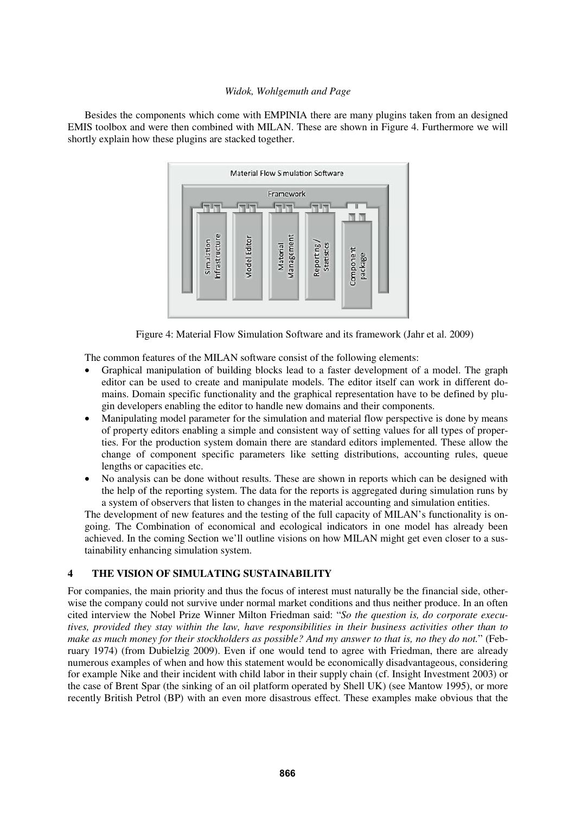Besides the components which come with EMPINIA there are many plugins taken from an designed EMIS toolbox and were then combined with MILAN. These are shown in Figure 4. Furthermore we will shortly explain how these plugins are stacked together.



Figure 4: Material Flow Simulation Software and its framework (Jahr et al. 2009)

The common features of the MILAN software consist of the following elements:

- Graphical manipulation of building blocks lead to a faster development of a model. The graph editor can be used to create and manipulate models. The editor itself can work in different domains. Domain specific functionality and the graphical representation have to be defined by plugin developers enabling the editor to handle new domains and their components.
- Manipulating model parameter for the simulation and material flow perspective is done by means of property editors enabling a simple and consistent way of setting values for all types of properties. For the production system domain there are standard editors implemented. These allow the change of component specific parameters like setting distributions, accounting rules, queue lengths or capacities etc.
- No analysis can be done without results. These are shown in reports which can be designed with the help of the reporting system. The data for the reports is aggregated during simulation runs by a system of observers that listen to changes in the material accounting and simulation entities.

The development of new features and the testing of the full capacity of MILAN's functionality is ongoing. The Combination of economical and ecological indicators in one model has already been achieved. In the coming Section we'll outline visions on how MILAN might get even closer to a sustainability enhancing simulation system.

# **4 THE VISION OF SIMULATING SUSTAINABILITY**

For companies, the main priority and thus the focus of interest must naturally be the financial side, otherwise the company could not survive under normal market conditions and thus neither produce. In an often cited interview the Nobel Prize Winner Milton Friedman said: "*So the question is, do corporate executives, provided they stay within the law, have responsibilities in their business activities other than to make as much money for their stockholders as possible? And my answer to that is, no they do not.*" (February 1974) (from Dubielzig 2009). Even if one would tend to agree with Friedman, there are already numerous examples of when and how this statement would be economically disadvantageous, considering for example Nike and their incident with child labor in their supply chain (cf. Insight Investment 2003) or the case of Brent Spar (the sinking of an oil platform operated by Shell UK) (see Mantow 1995), or more recently British Petrol (BP) with an even more disastrous effect. These examples make obvious that the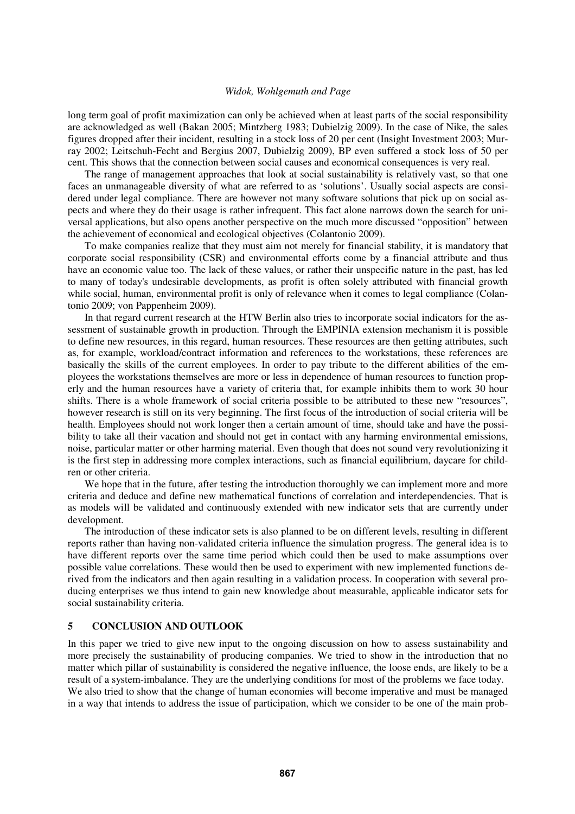long term goal of profit maximization can only be achieved when at least parts of the social responsibility are acknowledged as well (Bakan 2005; Mintzberg 1983; Dubielzig 2009). In the case of Nike, the sales figures dropped after their incident, resulting in a stock loss of 20 per cent (Insight Investment 2003; Murray 2002; Leitschuh-Fecht and Bergius 2007, Dubielzig 2009), BP even suffered a stock loss of 50 per cent. This shows that the connection between social causes and economical consequences is very real.

The range of management approaches that look at social sustainability is relatively vast, so that one faces an unmanageable diversity of what are referred to as 'solutions'. Usually social aspects are considered under legal compliance. There are however not many software solutions that pick up on social aspects and where they do their usage is rather infrequent. This fact alone narrows down the search for universal applications, but also opens another perspective on the much more discussed "opposition" between the achievement of economical and ecological objectives (Colantonio 2009).

To make companies realize that they must aim not merely for financial stability, it is mandatory that corporate social responsibility (CSR) and environmental efforts come by a financial attribute and thus have an economic value too. The lack of these values, or rather their unspecific nature in the past, has led to many of today's undesirable developments, as profit is often solely attributed with financial growth while social, human, environmental profit is only of relevance when it comes to legal compliance (Colantonio 2009; von Pappenheim 2009).

In that regard current research at the HTW Berlin also tries to incorporate social indicators for the assessment of sustainable growth in production. Through the EMPINIA extension mechanism it is possible to define new resources, in this regard, human resources. These resources are then getting attributes, such as, for example, workload/contract information and references to the workstations, these references are basically the skills of the current employees. In order to pay tribute to the different abilities of the employees the workstations themselves are more or less in dependence of human resources to function properly and the human resources have a variety of criteria that, for example inhibits them to work 30 hour shifts. There is a whole framework of social criteria possible to be attributed to these new "resources", however research is still on its very beginning. The first focus of the introduction of social criteria will be health. Employees should not work longer then a certain amount of time, should take and have the possibility to take all their vacation and should not get in contact with any harming environmental emissions, noise, particular matter or other harming material. Even though that does not sound very revolutionizing it is the first step in addressing more complex interactions, such as financial equilibrium, daycare for children or other criteria.

We hope that in the future, after testing the introduction thoroughly we can implement more and more criteria and deduce and define new mathematical functions of correlation and interdependencies. That is as models will be validated and continuously extended with new indicator sets that are currently under development.

The introduction of these indicator sets is also planned to be on different levels, resulting in different reports rather than having non-validated criteria influence the simulation progress. The general idea is to have different reports over the same time period which could then be used to make assumptions over possible value correlations. These would then be used to experiment with new implemented functions derived from the indicators and then again resulting in a validation process. In cooperation with several producing enterprises we thus intend to gain new knowledge about measurable, applicable indicator sets for social sustainability criteria.

#### **5 CONCLUSION AND OUTLOOK**

In this paper we tried to give new input to the ongoing discussion on how to assess sustainability and more precisely the sustainability of producing companies. We tried to show in the introduction that no matter which pillar of sustainability is considered the negative influence, the loose ends, are likely to be a result of a system-imbalance. They are the underlying conditions for most of the problems we face today. We also tried to show that the change of human economies will become imperative and must be managed in a way that intends to address the issue of participation, which we consider to be one of the main prob-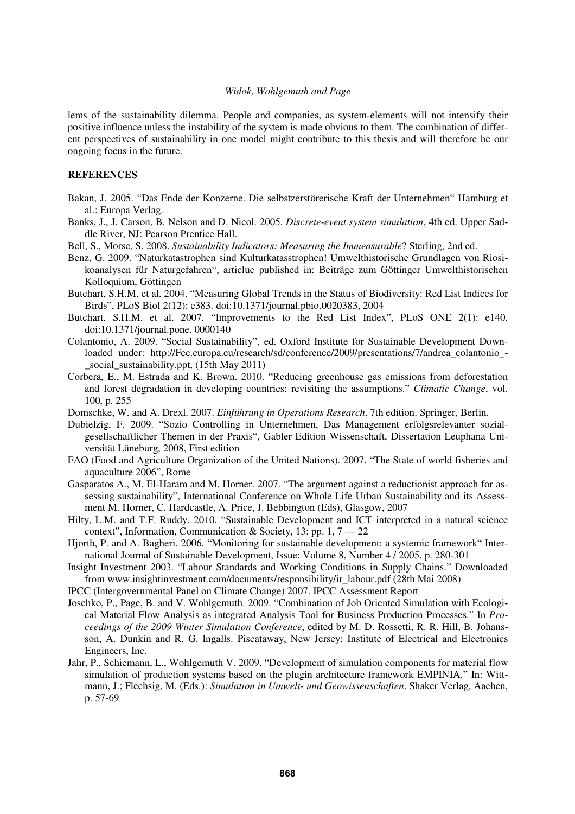lems of the sustainability dilemma. People and companies, as system-elements will not intensify their positive influence unless the instability of the system is made obvious to them. The combination of different perspectives of sustainability in one model might contribute to this thesis and will therefore be our ongoing focus in the future.

# **REFERENCES**

- Bakan, J. 2005. "Das Ende der Konzerne. Die selbstzerstörerische Kraft der Unternehmen" Hamburg et al.: Europa Verlag.
- Banks, J., J. Carson, B. Nelson and D. Nicol. 2005. *Discrete-event system simulation*, 4th ed. Upper Saddle River, NJ: Pearson Prentice Hall.
- Bell, S., Morse, S. 2008. *Sustainability Indicators: Measuring the Immeasurable*? Sterling, 2nd ed.
- Benz, G. 2009. "Naturkatastrophen sind Kulturkatasstrophen! Umwelthistorische Grundlagen von Riosikoanalysen für Naturgefahren", articlue published in: Beiträge zum Göttinger Umwelthistorischen Kolloquium, Göttingen
- Butchart, S.H.M. et al. 2004. "Measuring Global Trends in the Status of Biodiversity: Red List Indices for Birds", PLoS Biol 2(12): e383. doi:10.1371/journal.pbio.0020383, 2004
- Butchart, S.H.M. et al. 2007. "Improvements to the Red List Index", PLoS ONE 2(1): e140. doi:10.1371/journal.pone. 0000140
- Colantonio, A. 2009. "Social Sustainability", ed. Oxford Institute for Sustainable Development Downloaded under: http://Fec.europa.eu/research/sd/conference/2009/presentations/7/andrea\_colantonio\_- \_social\_sustainability.ppt, (15th May 2011)
- Corbera, E., M. Estrada and K. Brown. 2010. "Reducing greenhouse gas emissions from deforestation and forest degradation in developing countries: revisiting the assumptions." *Climatic Change*, vol. 100, p. 255
- Domschke, W. and A. Drexl. 2007. *Einführung in Operations Research*. 7th edition. Springer, Berlin.
- Dubielzig, F. 2009. "Sozio Controlling in Unternehmen, Das Management erfolgsrelevanter sozialgesellschaftlicher Themen in der Praxis", Gabler Edition Wissenschaft, Dissertation Leuphana Universität Lüneburg, 2008, First edition
- FAO (Food and Agriculture Organization of the United Nations). 2007. "The State of world fisheries and aquaculture 2006", Rome
- Gasparatos A., M. El-Haram and M. Horner. 2007. "The argument against a reductionist approach for assessing sustainability", International Conference on Whole Life Urban Sustainability and its Assessment M. Horner, C. Hardcastle, A. Price, J. Bebbington (Eds), Glasgow, 2007
- Hilty, L.M. and T.F. Ruddy. 2010. "Sustainable Development and ICT interpreted in a natural science context", Information, Communication & Society, 13: pp. 1,  $7 - 22$
- Hjorth, P. and A. Bagheri. 2006. "Monitoring for sustainable development: a systemic framework" International Journal of Sustainable Development, Issue: Volume 8, Number 4 / 2005, p. 280-301
- Insight Investment 2003. "Labour Standards and Working Conditions in Supply Chains." Downloaded from www.insightinvestment.com/documents/responsibility/ir\_labour.pdf (28th Mai 2008)
- IPCC (Intergovernmental Panel on Climate Change) 2007. IPCC Assessment Report
- Joschko, P., Page, B. and V. Wohlgemuth. 2009. "Combination of Job Oriented Simulation with Ecological Material Flow Analysis as integrated Analysis Tool for Business Production Processes." In *Proceedings of the 2009 Winter Simulation Conference*, edited by M. D. Rossetti, R. R. Hill, B. Johansson, A. Dunkin and R. G. Ingalls. Piscataway, New Jersey: Institute of Electrical and Electronics Engineers, Inc.
- Jahr, P., Schiemann, L., Wohlgemuth V. 2009. "Development of simulation components for material flow simulation of production systems based on the plugin architecture framework EMPINIA." In: Wittmann, J.; Flechsig, M. (Eds.): *Simulation in Umwelt- und Geowissenschaften*. Shaker Verlag, Aachen, p. 57-69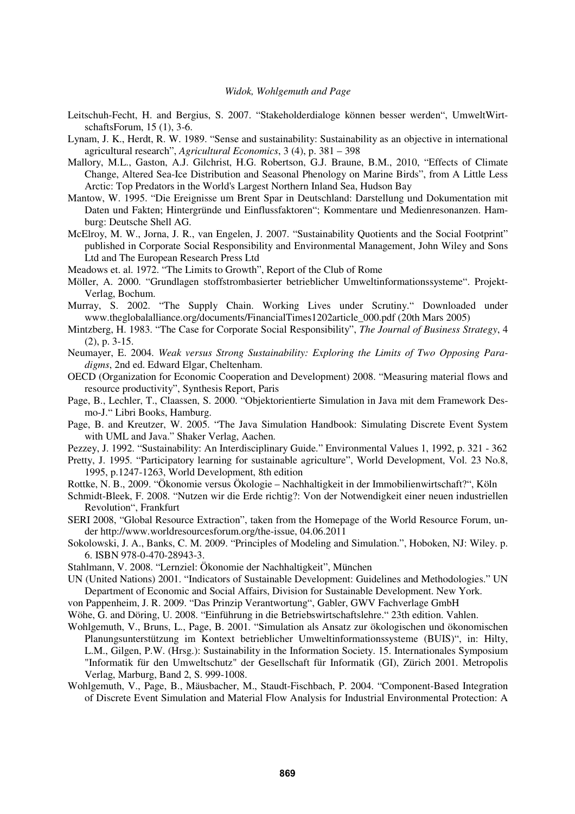- Leitschuh-Fecht, H. and Bergius, S. 2007. "Stakeholderdialoge können besser werden", UmweltWirtschaftsForum, 15 (1), 3-6.
- Lynam, J. K., Herdt, R. W. 1989. "Sense and sustainability: Sustainability as an objective in international agricultural research", *Agricultural Economics*, 3 (4), p. 381 – 398
- Mallory, M.L., Gaston, A.J. Gilchrist, H.G. Robertson, G.J. Braune, B.M., 2010, "Effects of Climate Change, Altered Sea-Ice Distribution and Seasonal Phenology on Marine Birds", from A Little Less Arctic: Top Predators in the World's Largest Northern Inland Sea, Hudson Bay
- Mantow, W. 1995. "Die Ereignisse um Brent Spar in Deutschland: Darstellung und Dokumentation mit Daten und Fakten; Hintergründe und Einflussfaktoren"; Kommentare und Medienresonanzen. Hamburg: Deutsche Shell AG.
- McElroy, M. W., Jorna, J. R., van Engelen, J. 2007. "Sustainability Quotients and the Social Footprint" published in Corporate Social Responsibility and Environmental Management, John Wiley and Sons Ltd and The European Research Press Ltd
- Meadows et. al. 1972. "The Limits to Growth", Report of the Club of Rome
- Möller, A. 2000. "Grundlagen stoffstrombasierter betrieblicher Umweltinformationssysteme". Projekt-Verlag, Bochum.
- Murray, S. 2002. "The Supply Chain. Working Lives under Scrutiny." Downloaded under www.theglobalalliance.org/documents/FinancialTimes1202article\_000.pdf (20th Mars 2005)
- Mintzberg, H. 1983. "The Case for Corporate Social Responsibility", *The Journal of Business Strategy*, 4 (2), p. 3-15.
- Neumayer, E. 2004. *Weak versus Strong Sustainability: Exploring the Limits of Two Opposing Paradigms*, 2nd ed. Edward Elgar, Cheltenham.
- OECD (Organization for Economic Cooperation and Development) 2008. "Measuring material flows and resource productivity", Synthesis Report, Paris
- Page, B., Lechler, T., Claassen, S. 2000. "Objektorientierte Simulation in Java mit dem Framework Desmo-J." Libri Books, Hamburg.
- Page, B. and Kreutzer, W. 2005. "The Java Simulation Handbook: Simulating Discrete Event System with UML and Java." Shaker Verlag, Aachen.
- Pezzey, J. 1992. "Sustainability: An Interdisciplinary Guide." Environmental Values 1, 1992, p. 321 362
- Pretty, J. 1995. "Participatory learning for sustainable agriculture", World Development, Vol. 23 No.8, 1995, p.1247-1263, World Development, 8th edition
- Rottke, N. B., 2009. "Ökonomie versus Ökologie Nachhaltigkeit in der Immobilienwirtschaft?", Köln
- Schmidt-Bleek, F. 2008. "Nutzen wir die Erde richtig?: Von der Notwendigkeit einer neuen industriellen Revolution", Frankfurt
- SERI 2008, "Global Resource Extraction", taken from the Homepage of the World Resource Forum, under http://www.worldresourcesforum.org/the-issue, 04.06.2011
- Sokolowski, J. A., Banks, C. M. 2009. "Principles of Modeling and Simulation.", Hoboken, NJ: Wiley. p. 6. ISBN 978-0-470-28943-3.
- Stahlmann, V. 2008. "Lernziel: Ökonomie der Nachhaltigkeit", München
- UN (United Nations) 2001. "Indicators of Sustainable Development: Guidelines and Methodologies." UN Department of Economic and Social Affairs, Division for Sustainable Development. New York.
- von Pappenheim, J. R. 2009. "Das Prinzip Verantwortung", Gabler, GWV Fachverlage GmbH
- Wöhe, G. and Döring, U. 2008. "Einführung in die Betriebswirtschaftslehre." 23th edition. Vahlen.
- Wohlgemuth, V., Bruns, L., Page, B. 2001. "Simulation als Ansatz zur ökologischen und ökonomischen Planungsunterstützung im Kontext betrieblicher Umweltinformationssysteme (BUIS)", in: Hilty, L.M., Gilgen, P.W. (Hrsg.): Sustainability in the Information Society. 15. Internationales Symposium "Informatik für den Umweltschutz" der Gesellschaft für Informatik (GI), Zürich 2001. Metropolis Verlag, Marburg, Band 2, S. 999-1008.
- Wohlgemuth, V., Page, B., Mäusbacher, M., Staudt-Fischbach, P. 2004. "Component-Based Integration of Discrete Event Simulation and Material Flow Analysis for Industrial Environmental Protection: A